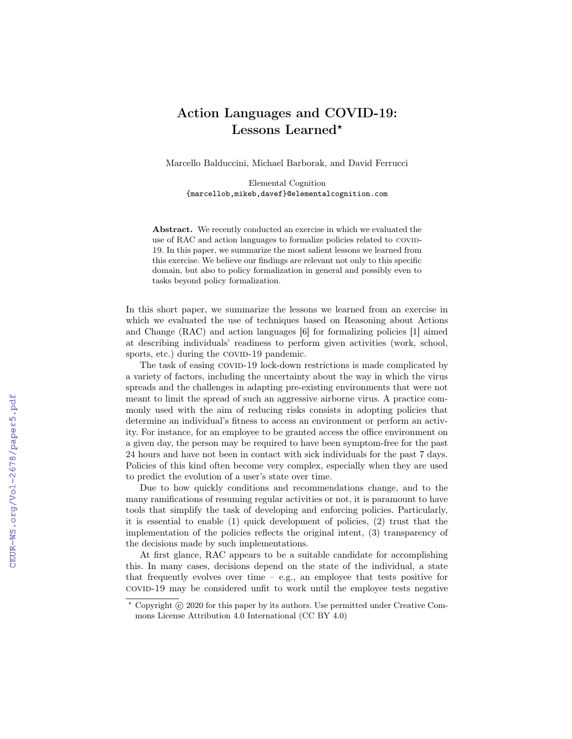## Action Languages and COVID-19: Lessons Learned\*

Marcello Balduccini, Michael Barborak, and David Ferrucci

Elemental Cognition {marcellob,mikeb,davef}@elementalcognition.com

Abstract. We recently conducted an exercise in which we evaluated the use of RAC and action languages to formalize policies related to COVID-19. In this paper, we summarize the most salient lessons we learned from this exercise. We believe our findings are relevant not only to this specific domain, but also to policy formalization in general and possibly even to tasks beyond policy formalization.

In this short paper, we summarize the lessons we learned from an exercise in which we evaluated the use of techniques based on Reasoning about Actions and Change (RAC) and action languages [6] for formalizing policies [1] aimed at describing individuals' readiness to perform given activities (work, school, sports, etc.) during the COVID-19 pandemic.

The task of easing COVID-19 lock-down restrictions is made complicated by a variety of factors, including the uncertainty about the way in which the virus spreads and the challenges in adapting pre-existing environments that were not meant to limit the spread of such an aggressive airborne virus. A practice commonly used with the aim of reducing risks consists in adopting policies that determine an individual's fitness to access an environment or perform an activity. For instance, for an employee to be granted access the office environment on a given day, the person may be required to have been symptom-free for the past 24 hours and have not been in contact with sick individuals for the past 7 days. Policies of this kind often become very complex, especially when they are used to predict the evolution of a user's state over time.

Due to how quickly conditions and recommendations change, and to the many ramifications of resuming regular activities or not, it is paramount to have tools that simplify the task of developing and enforcing policies. Particularly, it is essential to enable (1) quick development of policies, (2) trust that the implementation of the policies reflects the original intent, (3) transparency of the decisions made by such implementations.

At first glance, RAC appears to be a suitable candidate for accomplishing this. In many cases, decisions depend on the state of the individual, a state that frequently evolves over time  $-$  e.g., an employee that tests positive for covid-19 may be considered unfit to work until the employee tests negative

 $*$  Copyright  $\circ$  2020 for this paper by its authors. Use permitted under Creative Commons License Attribution 4.0 International (CC BY 4.0)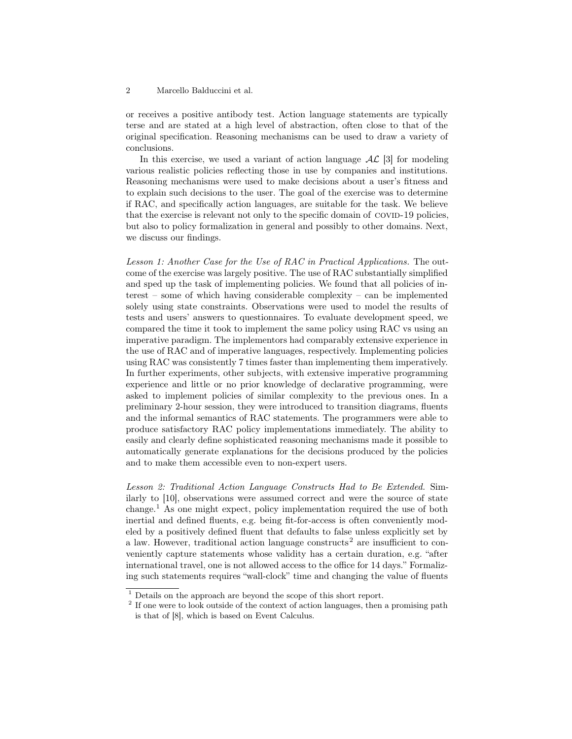## 2 Marcello Balduccini et al.

or receives a positive antibody test. Action language statements are typically terse and are stated at a high level of abstraction, often close to that of the original specification. Reasoning mechanisms can be used to draw a variety of conclusions.

In this exercise, we used a variant of action language  $\mathcal{AL}$  [3] for modeling various realistic policies reflecting those in use by companies and institutions. Reasoning mechanisms were used to make decisions about a user's fitness and to explain such decisions to the user. The goal of the exercise was to determine if RAC, and specifically action languages, are suitable for the task. We believe that the exercise is relevant not only to the specific domain of COVID-19 policies, but also to policy formalization in general and possibly to other domains. Next, we discuss our findings.

Lesson 1: Another Case for the Use of RAC in Practical Applications. The outcome of the exercise was largely positive. The use of RAC substantially simplified and sped up the task of implementing policies. We found that all policies of interest – some of which having considerable complexity – can be implemented solely using state constraints. Observations were used to model the results of tests and users' answers to questionnaires. To evaluate development speed, we compared the time it took to implement the same policy using RAC vs using an imperative paradigm. The implementors had comparably extensive experience in the use of RAC and of imperative languages, respectively. Implementing policies using RAC was consistently 7 times faster than implementing them imperatively. In further experiments, other subjects, with extensive imperative programming experience and little or no prior knowledge of declarative programming, were asked to implement policies of similar complexity to the previous ones. In a preliminary 2-hour session, they were introduced to transition diagrams, fluents and the informal semantics of RAC statements. The programmers were able to produce satisfactory RAC policy implementations immediately. The ability to easily and clearly define sophisticated reasoning mechanisms made it possible to automatically generate explanations for the decisions produced by the policies and to make them accessible even to non-expert users.

Lesson 2: Traditional Action Language Constructs Had to Be Extended. Similarly to [10], observations were assumed correct and were the source of state change.<sup>1</sup> As one might expect, policy implementation required the use of both inertial and defined fluents, e.g. being fit-for-access is often conveniently modeled by a positively defined fluent that defaults to false unless explicitly set by a law. However, traditional action language constructs<sup>2</sup> are insufficient to conveniently capture statements whose validity has a certain duration, e.g. "after international travel, one is not allowed access to the office for 14 days." Formalizing such statements requires "wall-clock" time and changing the value of fluents

 $1$  Details on the approach are beyond the scope of this short report.

<sup>&</sup>lt;sup>2</sup> If one were to look outside of the context of action languages, then a promising path is that of [8], which is based on Event Calculus.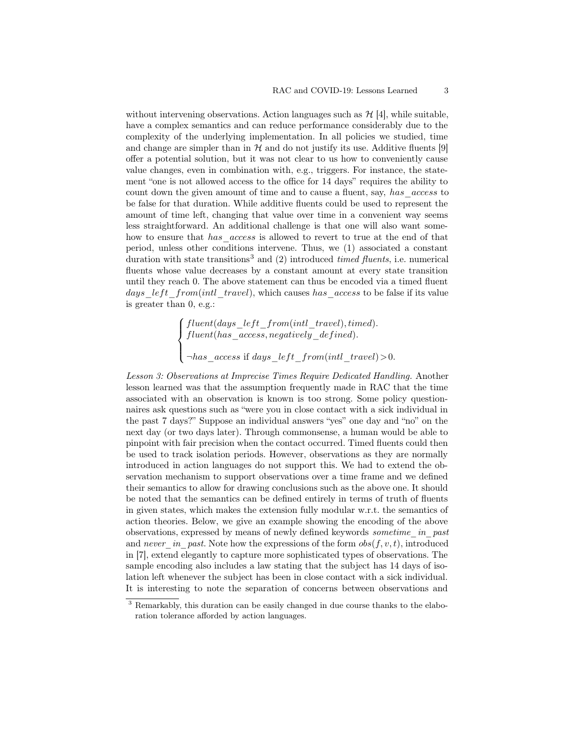without intervening observations. Action languages such as  $\mathcal{H}$  [4], while suitable, have a complex semantics and can reduce performance considerably due to the complexity of the underlying implementation. In all policies we studied, time and change are simpler than in  $H$  and do not justify its use. Additive fluents [9] offer a potential solution, but it was not clear to us how to conveniently cause value changes, even in combination with, e.g., triggers. For instance, the statement "one is not allowed access to the office for 14 days" requires the ability to count down the given amount of time and to cause a fluent, say, has access to be false for that duration. While additive fluents could be used to represent the amount of time left, changing that value over time in a convenient way seems less straightforward. An additional challenge is that one will also want somehow to ensure that has access is allowed to revert to true at the end of that period, unless other conditions intervene. Thus, we (1) associated a constant duration with state transitions<sup>3</sup> and  $(2)$  introduced *timed fluents*, i.e. numerical fluents whose value decreases by a constant amount at every state transition until they reach 0. The above statement can thus be encoded via a timed fluent days left from(intl travel), which causes has access to be false if its value is greater than 0, e.g.:

> $\sqrt{ }$  $\Big\}$  $fluent(days\_left\_front(int\_travel), timed).$  $fluent(has\_access, negatively\_defined).$

 $\overline{\mathcal{L}}$  $\neg has\_access$  if  $days\_left\_from(intl\_travel) > 0$ .

Lesson 3: Observations at Imprecise Times Require Dedicated Handling. Another lesson learned was that the assumption frequently made in RAC that the time associated with an observation is known is too strong. Some policy questionnaires ask questions such as "were you in close contact with a sick individual in the past 7 days?" Suppose an individual answers "yes" one day and "no" on the next day (or two days later). Through commonsense, a human would be able to pinpoint with fair precision when the contact occurred. Timed fluents could then be used to track isolation periods. However, observations as they are normally introduced in action languages do not support this. We had to extend the observation mechanism to support observations over a time frame and we defined their semantics to allow for drawing conclusions such as the above one. It should be noted that the semantics can be defined entirely in terms of truth of fluents in given states, which makes the extension fully modular w.r.t. the semantics of action theories. Below, we give an example showing the encoding of the above observations, expressed by means of newly defined keywords sometime in past and never in past. Note how the expressions of the form  $obs(f, v, t)$ , introduced in [7], extend elegantly to capture more sophisticated types of observations. The sample encoding also includes a law stating that the subject has 14 days of isolation left whenever the subject has been in close contact with a sick individual. It is interesting to note the separation of concerns between observations and

 $\frac{3}{3}$  Remarkably, this duration can be easily changed in due course thanks to the elaboration tolerance afforded by action languages.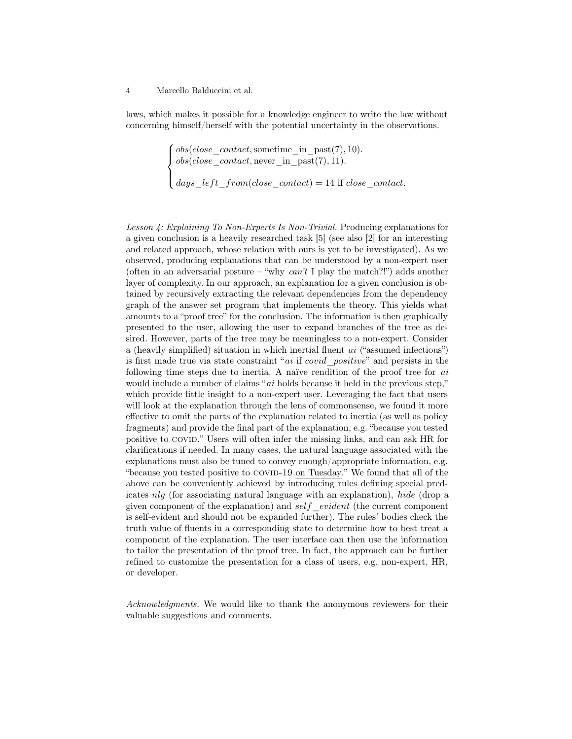## 4 Marcello Balduccini et al.

laws, which makes it possible for a knowledge engineer to write the law without concerning himself/herself with the potential uncertainty in the observations.

$$
\left\{ \begin{aligned} obs (close\_contact, \text{something\_in\_past}(7), 10). \\ obs (close\_contact, \text{never\_in\_past}(7), 11). \\ days\_left\_front (close\_contact) = 14 \text{ if close\_contact}. \end{aligned} \right.
$$

Lesson 4: Explaining To Non-Experts Is Non-Trivial. Producing explanations for a given conclusion is a heavily researched task [5] (see also [2] for an interesting and related approach, whose relation with ours is yet to be investigated). As we observed, producing explanations that can be understood by a non-expert user (often in an adversarial posture – "why  $can't$  I play the match?!") adds another layer of complexity. In our approach, an explanation for a given conclusion is obtained by recursively extracting the relevant dependencies from the dependency graph of the answer set program that implements the theory. This yields what amounts to a "proof tree" for the conclusion. The information is then graphically presented to the user, allowing the user to expand branches of the tree as desired. However, parts of the tree may be meaningless to a non-expert. Consider a (heavily simplified) situation in which inertial fluent ai ("assumed infectious") is first made true via state constraint " $ai$  if  $covid$  positive" and persists in the following time steps due to inertia. A naïve rendition of the proof tree for ai would include a number of claims "ai holds because it held in the previous step," which provide little insight to a non-expert user. Leveraging the fact that users will look at the explanation through the lens of commonsense, we found it more effective to omit the parts of the explanation related to inertia (as well as policy fragments) and provide the final part of the explanation, e.g. "because you tested positive to covid." Users will often infer the missing links, and can ask HR for clarifications if needed. In many cases, the natural language associated with the explanations must also be tuned to convey enough/appropriate information, e.g. "because you tested positive to COVID-19 on Tuesday." We found that all of the above can be conveniently achieved by introducing rules defining special predicates nlg (for associating natural language with an explanation), hide (drop a given component of the explanation) and self evident (the current component is self-evident and should not be expanded further). The rules' bodies check the truth value of fluents in a corresponding state to determine how to best treat a component of the explanation. The user interface can then use the information to tailor the presentation of the proof tree. In fact, the approach can be further refined to customize the presentation for a class of users, e.g. non-expert, HR, or developer.

Acknowledgments. We would like to thank the anonymous reviewers for their valuable suggestions and comments.